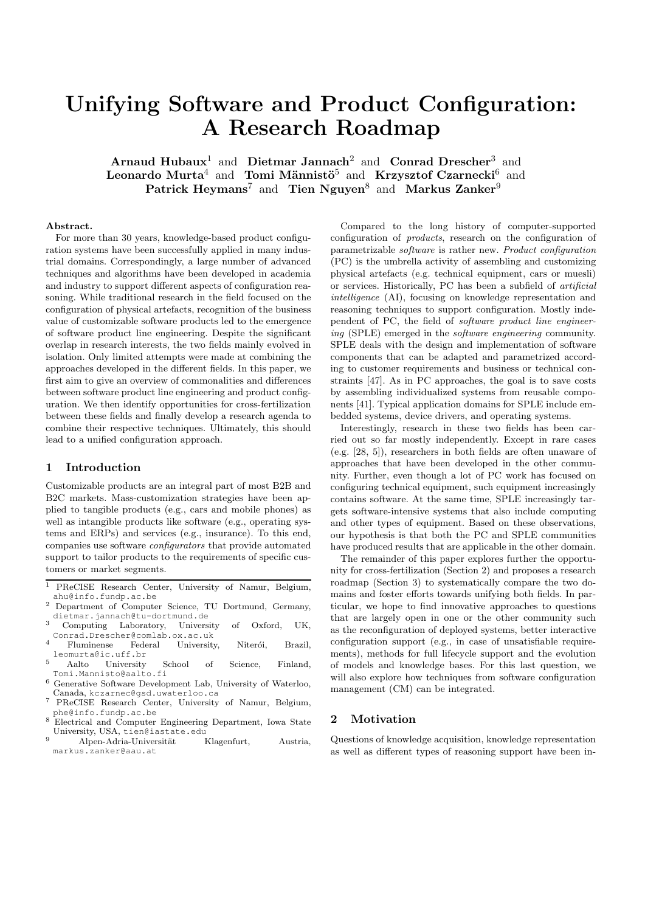# Unifying Software and Product Configuration: A Research Roadmap

Arnaud Hubaux<sup>1</sup> and Dietmar Jannach<sup>2</sup> and Conrad Drescher<sup>3</sup> and Leonardo Murta $^4$  and Tomi Männistö $^5$  and Krzysztof Czarnecki $^6$  and Patrick Heymans<sup>7</sup> and Tien Nguyen<sup>8</sup> and Markus Zanker<sup>9</sup>

#### Abstract.

For more than 30 years, knowledge-based product configuration systems have been successfully applied in many industrial domains. Correspondingly, a large number of advanced techniques and algorithms have been developed in academia and industry to support different aspects of configuration reasoning. While traditional research in the field focused on the configuration of physical artefacts, recognition of the business value of customizable software products led to the emergence of software product line engineering. Despite the significant overlap in research interests, the two fields mainly evolved in isolation. Only limited attempts were made at combining the approaches developed in the different fields. In this paper, we first aim to give an overview of commonalities and differences between software product line engineering and product configuration. We then identify opportunities for cross-fertilization between these fields and finally develop a research agenda to combine their respective techniques. Ultimately, this should lead to a unified configuration approach.

#### 1 Introduction

Customizable products are an integral part of most B2B and B2C markets. Mass-customization strategies have been applied to tangible products (e.g., cars and mobile phones) as well as intangible products like software (e.g., operating systems and ERPs) and services (e.g., insurance). To this end, companies use software configurators that provide automated support to tailor products to the requirements of specific customers or market segments.

- <sup>1</sup> PReCISE Research Center, University of Namur, Belgium, ahu@info.fundp.ac.be
- <sup>2</sup> Department of Computer Science, TU Dortmund, Germany, dietmar.jannach@tu-dortmund.de
- <sup>3</sup> Computing Laboratory, University of Oxford, UK, Conrad.Drescher@comlab.ox.ac.uk
- <sup>4</sup> Fluminense Federal University, Niterói, Brazil, leomurta@ic.uff.br
- <sup>5</sup> Aalto University School of Science, Finland, Tomi.Mannisto@aalto.fi
- <sup>6</sup> Generative Software Development Lab, University of Waterloo, Canada, kczarnec@gsd.uwaterloo.ca
- <sup>7</sup> PReCISE Research Center, University of Namur, Belgium, phe@info.fundp.ac.be
- <sup>8</sup> Electrical and Computer Engineering Department, Iowa State University, USA, tien@iastate.edu
- Alpen-Adria-Universität Klagenfurt, Austria, markus.zanker@aau.at

Compared to the long history of computer-supported configuration of products, research on the configuration of parametrizable software is rather new. Product configuration (PC) is the umbrella activity of assembling and customizing physical artefacts (e.g. technical equipment, cars or muesli) or services. Historically, PC has been a subfield of artificial intelligence (AI), focusing on knowledge representation and reasoning techniques to support configuration. Mostly independent of PC, the field of software product line engineering (SPLE) emerged in the software engineering community. SPLE deals with the design and implementation of software components that can be adapted and parametrized according to customer requirements and business or technical constraints [47]. As in PC approaches, the goal is to save costs by assembling individualized systems from reusable components [41]. Typical application domains for SPLE include embedded systems, device drivers, and operating systems.

Interestingly, research in these two fields has been carried out so far mostly independently. Except in rare cases (e.g. [28, 5]), researchers in both fields are often unaware of approaches that have been developed in the other community. Further, even though a lot of PC work has focused on configuring technical equipment, such equipment increasingly contains software. At the same time, SPLE increasingly targets software-intensive systems that also include computing and other types of equipment. Based on these observations, our hypothesis is that both the PC and SPLE communities have produced results that are applicable in the other domain.

The remainder of this paper explores further the opportunity for cross-fertilization (Section 2) and proposes a research roadmap (Section 3) to systematically compare the two domains and foster efforts towards unifying both fields. In particular, we hope to find innovative approaches to questions that are largely open in one or the other community such as the reconfiguration of deployed systems, better interactive configuration support (e.g., in case of unsatisfiable requirements), methods for full lifecycle support and the evolution of models and knowledge bases. For this last question, we will also explore how techniques from software configuration management (CM) can be integrated.

#### 2 Motivation

Questions of knowledge acquisition, knowledge representation as well as different types of reasoning support have been in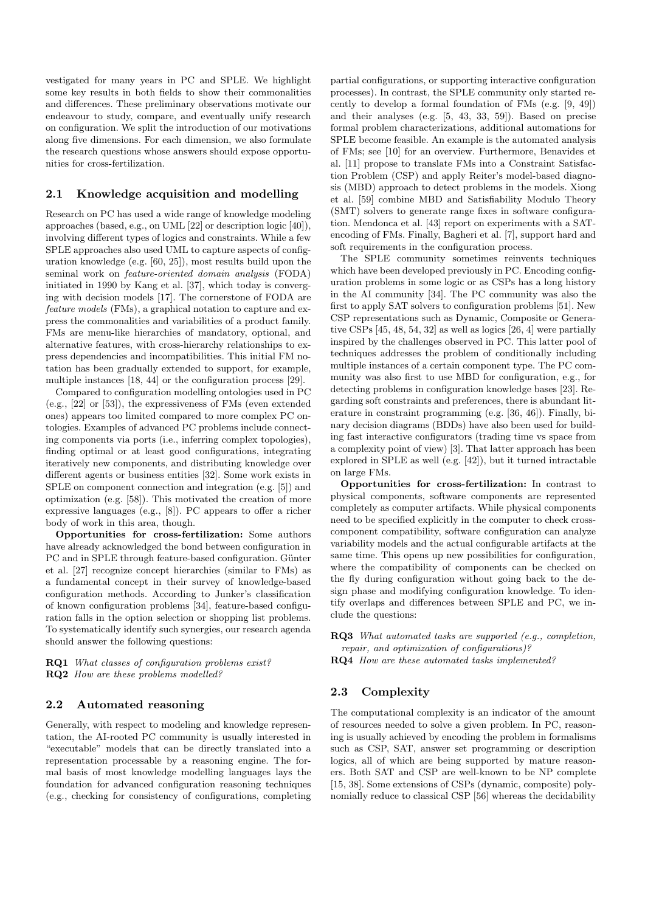vestigated for many years in PC and SPLE. We highlight some key results in both fields to show their commonalities and differences. These preliminary observations motivate our endeavour to study, compare, and eventually unify research on configuration. We split the introduction of our motivations along five dimensions. For each dimension, we also formulate the research questions whose answers should expose opportunities for cross-fertilization.

# 2.1 Knowledge acquisition and modelling

Research on PC has used a wide range of knowledge modeling approaches (based, e.g., on UML [22] or description logic [40]), involving different types of logics and constraints. While a few SPLE approaches also used UML to capture aspects of configuration knowledge (e.g. [60, 25]), most results build upon the seminal work on feature-oriented domain analysis (FODA) initiated in 1990 by Kang et al. [37], which today is converging with decision models [17]. The cornerstone of FODA are feature models (FMs), a graphical notation to capture and express the commonalities and variabilities of a product family. FMs are menu-like hierarchies of mandatory, optional, and alternative features, with cross-hierarchy relationships to express dependencies and incompatibilities. This initial FM notation has been gradually extended to support, for example, multiple instances [18, 44] or the configuration process [29].

Compared to configuration modelling ontologies used in PC (e.g., [22] or [53]), the expressiveness of FMs (even extended ones) appears too limited compared to more complex PC ontologies. Examples of advanced PC problems include connecting components via ports (i.e., inferring complex topologies), finding optimal or at least good configurations, integrating iteratively new components, and distributing knowledge over different agents or business entities [32]. Some work exists in SPLE on component connection and integration (e.g. [5]) and optimization (e.g. [58]). This motivated the creation of more expressive languages (e.g., [8]). PC appears to offer a richer body of work in this area, though.

Opportunities for cross-fertilization: Some authors have already acknowledged the bond between configuration in PC and in SPLE through feature-based configuration. Günter et al. [27] recognize concept hierarchies (similar to FMs) as a fundamental concept in their survey of knowledge-based configuration methods. According to Junker's classification of known configuration problems [34], feature-based configuration falls in the option selection or shopping list problems. To systematically identify such synergies, our research agenda should answer the following questions:

RQ1 What classes of configuration problems exist? RQ2 How are these problems modelled?

#### 2.2 Automated reasoning

Generally, with respect to modeling and knowledge representation, the AI-rooted PC community is usually interested in "executable" models that can be directly translated into a representation processable by a reasoning engine. The formal basis of most knowledge modelling languages lays the foundation for advanced configuration reasoning techniques (e.g., checking for consistency of configurations, completing

partial configurations, or supporting interactive configuration processes). In contrast, the SPLE community only started recently to develop a formal foundation of FMs (e.g. [9, 49]) and their analyses (e.g. [5, 43, 33, 59]). Based on precise formal problem characterizations, additional automations for SPLE become feasible. An example is the automated analysis of FMs; see [10] for an overview. Furthermore, Benavides et al. [11] propose to translate FMs into a Constraint Satisfaction Problem (CSP) and apply Reiter's model-based diagnosis (MBD) approach to detect problems in the models. Xiong et al. [59] combine MBD and Satisfiability Modulo Theory (SMT) solvers to generate range fixes in software configuration. Mendonca et al. [43] report on experiments with a SATencoding of FMs. Finally, Bagheri et al. [7], support hard and soft requirements in the configuration process.

The SPLE community sometimes reinvents techniques which have been developed previously in PC. Encoding configuration problems in some logic or as CSPs has a long history in the AI community [34]. The PC community was also the first to apply SAT solvers to configuration problems [51]. New CSP representations such as Dynamic, Composite or Generative CSPs [45, 48, 54, 32] as well as logics [26, 4] were partially inspired by the challenges observed in PC. This latter pool of techniques addresses the problem of conditionally including multiple instances of a certain component type. The PC community was also first to use MBD for configuration, e.g., for detecting problems in configuration knowledge bases [23]. Regarding soft constraints and preferences, there is abundant literature in constraint programming (e.g. [36, 46]). Finally, binary decision diagrams (BDDs) have also been used for building fast interactive configurators (trading time vs space from a complexity point of view) [3]. That latter approach has been explored in SPLE as well (e.g. [42]), but it turned intractable on large FMs.

Opportunities for cross-fertilization: In contrast to physical components, software components are represented completely as computer artifacts. While physical components need to be specified explicitly in the computer to check crosscomponent compatibility, software configuration can analyze variability models and the actual configurable artifacts at the same time. This opens up new possibilities for configuration, where the compatibility of components can be checked on the fly during configuration without going back to the design phase and modifying configuration knowledge. To identify overlaps and differences between SPLE and PC, we include the questions:

RQ3 What automated tasks are supported (e.g., completion, repair, and optimization of configurations)? RQ4 How are these automated tasks implemented?

# 2.3 Complexity

The computational complexity is an indicator of the amount of resources needed to solve a given problem. In PC, reasoning is usually achieved by encoding the problem in formalisms such as CSP, SAT, answer set programming or description logics, all of which are being supported by mature reasoners. Both SAT and CSP are well-known to be NP complete [15, 38]. Some extensions of CSPs (dynamic, composite) polynomially reduce to classical CSP [56] whereas the decidability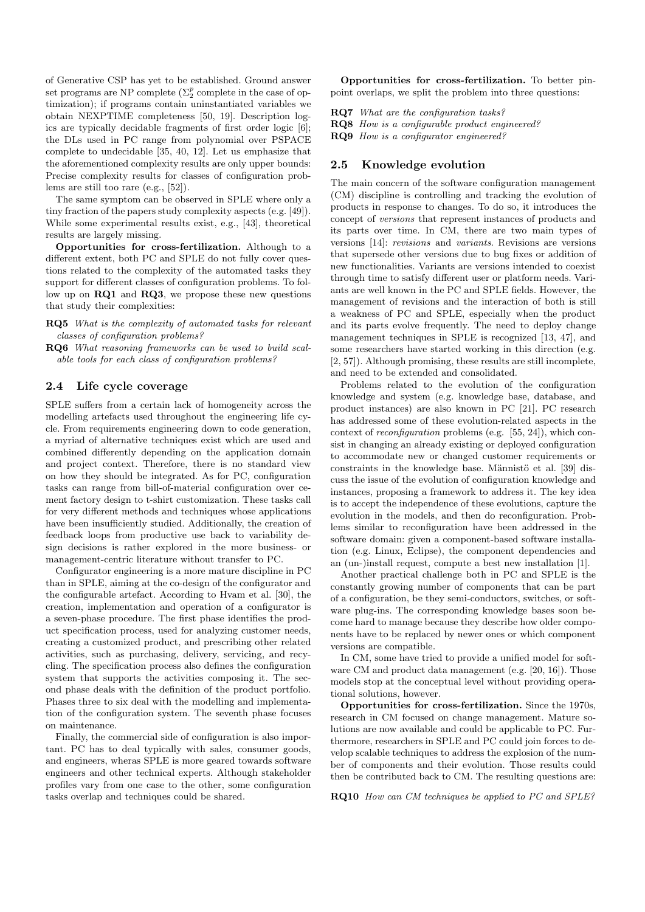of Generative CSP has yet to be established. Ground answer set programs are NP complete  $(\Sigma_2^p$  complete in the case of optimization); if programs contain uninstantiated variables we obtain NEXPTIME completeness [50, 19]. Description logics are typically decidable fragments of first order logic [6]; the DLs used in PC range from polynomial over PSPACE complete to undecidable [35, 40, 12]. Let us emphasize that the aforementioned complexity results are only upper bounds: Precise complexity results for classes of configuration problems are still too rare (e.g., [52]).

The same symptom can be observed in SPLE where only a tiny fraction of the papers study complexity aspects (e.g. [49]). While some experimental results exist, e.g., [43], theoretical results are largely missing.

Opportunities for cross-fertilization. Although to a different extent, both PC and SPLE do not fully cover questions related to the complexity of the automated tasks they support for different classes of configuration problems. To follow up on RQ1 and RQ3, we propose these new questions that study their complexities:

RQ5 What is the complexity of automated tasks for relevant classes of configuration problems?

RQ6 What reasoning frameworks can be used to build scalable tools for each class of configuration problems?

### 2.4 Life cycle coverage

SPLE suffers from a certain lack of homogeneity across the modelling artefacts used throughout the engineering life cycle. From requirements engineering down to code generation, a myriad of alternative techniques exist which are used and combined differently depending on the application domain and project context. Therefore, there is no standard view on how they should be integrated. As for PC, configuration tasks can range from bill-of-material configuration over cement factory design to t-shirt customization. These tasks call for very different methods and techniques whose applications have been insufficiently studied. Additionally, the creation of feedback loops from productive use back to variability design decisions is rather explored in the more business- or management-centric literature without transfer to PC.

Configurator engineering is a more mature discipline in PC than in SPLE, aiming at the co-design of the configurator and the configurable artefact. According to Hvam et al. [30], the creation, implementation and operation of a configurator is a seven-phase procedure. The first phase identifies the product specification process, used for analyzing customer needs, creating a customized product, and prescribing other related activities, such as purchasing, delivery, servicing, and recycling. The specification process also defines the configuration system that supports the activities composing it. The second phase deals with the definition of the product portfolio. Phases three to six deal with the modelling and implementation of the configuration system. The seventh phase focuses on maintenance.

Finally, the commercial side of configuration is also important. PC has to deal typically with sales, consumer goods, and engineers, wheras SPLE is more geared towards software engineers and other technical experts. Although stakeholder profiles vary from one case to the other, some configuration tasks overlap and techniques could be shared.

Opportunities for cross-fertilization. To better pinpoint overlaps, we split the problem into three questions:

RQ7 What are the configuration tasks?

RQ8 How is a configurable product engineered?

RQ9 How is a configurator engineered?

# 2.5 Knowledge evolution

The main concern of the software configuration management (CM) discipline is controlling and tracking the evolution of products in response to changes. To do so, it introduces the concept of versions that represent instances of products and its parts over time. In CM, there are two main types of versions [14]: revisions and variants. Revisions are versions that supersede other versions due to bug fixes or addition of new functionalities. Variants are versions intended to coexist through time to satisfy different user or platform needs. Variants are well known in the PC and SPLE fields. However, the management of revisions and the interaction of both is still a weakness of PC and SPLE, especially when the product and its parts evolve frequently. The need to deploy change management techniques in SPLE is recognized [13, 47], and some researchers have started working in this direction (e.g. [2, 57]). Although promising, these results are still incomplete, and need to be extended and consolidated.

Problems related to the evolution of the configuration knowledge and system (e.g. knowledge base, database, and product instances) are also known in PC [21]. PC research has addressed some of these evolution-related aspects in the context of reconfiguration problems (e.g. [55, 24]), which consist in changing an already existing or deployed configuration to accommodate new or changed customer requirements or constraints in the knowledge base. Männistö et al. [39] discuss the issue of the evolution of configuration knowledge and instances, proposing a framework to address it. The key idea is to accept the independence of these evolutions, capture the evolution in the models, and then do reconfiguration. Problems similar to reconfiguration have been addressed in the software domain: given a component-based software installation (e.g. Linux, Eclipse), the component dependencies and an (un-)install request, compute a best new installation [1].

Another practical challenge both in PC and SPLE is the constantly growing number of components that can be part of a configuration, be they semi-conductors, switches, or software plug-ins. The corresponding knowledge bases soon become hard to manage because they describe how older components have to be replaced by newer ones or which component versions are compatible.

In CM, some have tried to provide a unified model for software CM and product data management (e.g. [20, 16]). Those models stop at the conceptual level without providing operational solutions, however.

Opportunities for cross-fertilization. Since the 1970s, research in CM focused on change management. Mature solutions are now available and could be applicable to PC. Furthermore, researchers in SPLE and PC could join forces to develop scalable techniques to address the explosion of the number of components and their evolution. Those results could then be contributed back to CM. The resulting questions are:

RQ10 How can CM techniques be applied to PC and SPLE?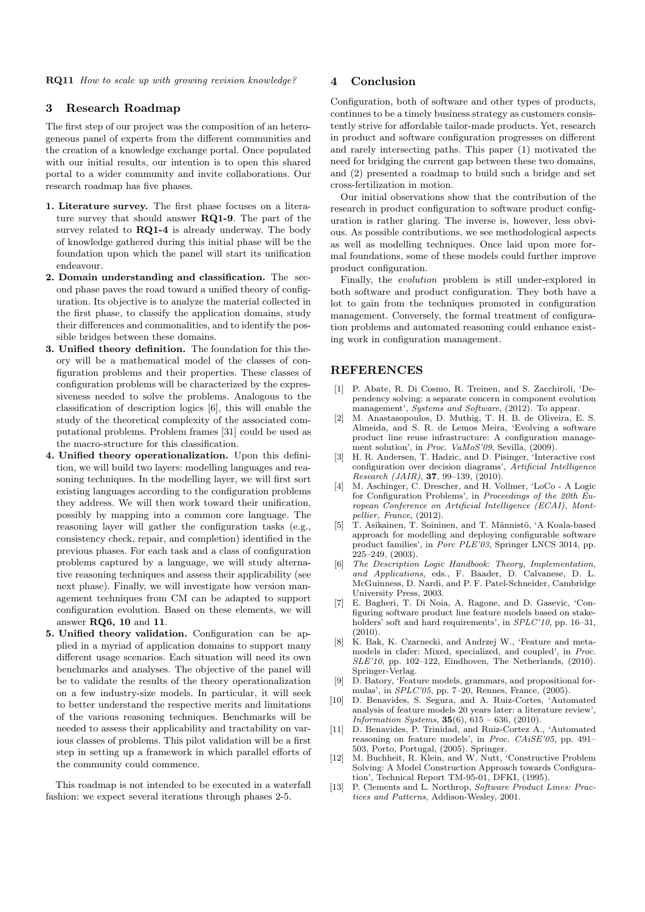RQ11 How to scale up with growing revision knowledge?

#### 3 Research Roadmap

The first step of our project was the composition of an heterogeneous panel of experts from the different communities and the creation of a knowledge exchange portal. Once populated with our initial results, our intention is to open this shared portal to a wider community and invite collaborations. Our research roadmap has five phases.

- 1. Literature survey. The first phase focuses on a literature survey that should answer RQ1-9. The part of the survey related to RQ1-4 is already underway. The body of knowledge gathered during this initial phase will be the foundation upon which the panel will start its unification endeavour.
- 2. Domain understanding and classification. The second phase paves the road toward a unified theory of configuration. Its objective is to analyze the material collected in the first phase, to classify the application domains, study their differences and commonalities, and to identify the possible bridges between these domains.
- 3. Unified theory definition. The foundation for this theory will be a mathematical model of the classes of configuration problems and their properties. These classes of configuration problems will be characterized by the expressiveness needed to solve the problems. Analogous to the classification of description logics [6], this will enable the study of the theoretical complexity of the associated computational problems. Problem frames [31] could be used as the macro-structure for this classification.
- 4. Unified theory operationalization. Upon this definition, we will build two layers: modelling languages and reasoning techniques. In the modelling layer, we will first sort existing languages according to the configuration problems they address. We will then work toward their unification, possibly by mapping into a common core language. The reasoning layer will gather the configuration tasks (e.g., consistency check, repair, and completion) identified in the previous phases. For each task and a class of configuration problems captured by a language, we will study alternative reasoning techniques and assess their applicability (see next phase). Finally, we will investigate how version management techniques from CM can be adapted to support configuration evolution. Based on these elements, we will answer RQ6, 10 and 11.
- 5. Unified theory validation. Configuration can be applied in a myriad of application domains to support many different usage scenarios. Each situation will need its own benchmarks and analyses. The objective of the panel will be to validate the results of the theory operationalization on a few industry-size models. In particular, it will seek to better understand the respective merits and limitations of the various reasoning techniques. Benchmarks will be needed to assess their applicability and tractability on various classes of problems. This pilot validation will be a first step in setting up a framework in which parallel efforts of the community could commence.

This roadmap is not intended to be executed in a waterfall fashion: we expect several iterations through phases 2-5.

# 4 Conclusion

Configuration, both of software and other types of products, continues to be a timely business strategy as customers consistently strive for affordable tailor-made products. Yet, research in product and software configuration progresses on different and rarely intersecting paths. This paper (1) motivated the need for bridging the current gap between these two domains, and (2) presented a roadmap to build such a bridge and set cross-fertilization in motion.

Our initial observations show that the contribution of the research in product configuration to software product configuration is rather glaring. The inverse is, however, less obvious. As possible contributions, we see methodological aspects as well as modelling techniques. Once laid upon more formal foundations, some of these models could further improve product configuration.

Finally, the evolution problem is still under-explored in both software and product configuration. They both have a lot to gain from the techniques promoted in configuration management. Conversely, the formal treatment of configuration problems and automated reasoning could enhance existing work in configuration management.

## REFERENCES

- [1] P. Abate, R. Di Cosmo, R. Treinen, and S. Zacchiroli, 'Dependency solving: a separate concern in component evolution management', Systems and Software, (2012). To appear.
- [2] M. Anastasopoulos, D. Muthig, T. H. B. de Oliveira, E. S. Almeida, and S. R. de Lemos Meira, 'Evolving a software product line reuse infrastructure: A configuration management solution', in Proc. VaMoS'09, Sevilla, (2009).
- [3] H. R. Andersen, T. Hadzic, and D. Pisinger, 'Interactive cost configuration over decision diagrams', Artificial Intelligence Research (JAIR), 37, 99–139, (2010).
- [4] M. Aschinger, C. Drescher, and H. Vollmer, 'LoCo A Logic for Configuration Problems', in Proceedings of the 20th  $\tilde{Eu}$ ropean Conference on Artificial Intelligence (ECAI), Montpellier, France, (2012).
- [5] T. Asikainen, T. Soininen, and T. M¨annist¨o, 'A Koala-based approach for modelling and deploying configurable software product families', in Porc PLE'03, Springer LNCS 3014, pp. 225–249, (2003).
- [6] The Description Logic Handbook: Theory, Implementation, and Applications, eds., F. Baader, D. Calvanese, D. L. McGuinness, D. Nardi, and P. F. Patel-Schneider, Cambridge University Press, 2003.
- [7] E. Bagheri, T. Di Noia, A. Ragone, and D. Gasevic, 'Configuring software product line feature models based on stakeholders' soft and hard requirements', in  $SPLC'10$ , pp. 16-31,  $(2010)$ .
- [8] K. Bak, K. Czarnecki, and Andrzej W., 'Feature and metamodels in clafer: Mixed, specialized, and coupled', in Proc. SLE'10, pp. 102–122, Eindhoven, The Netherlands, (2010). Springer-Verlag.
- [9] D. Batory, 'Feature models, grammars, and propositional formulas', in SPLC'05, pp. 7–20, Rennes, France, (2005).
- [10] D. Benavides, S. Segura, and A. Ruiz-Cortes, 'Automated analysis of feature models 20 years later: a literature review', Information Systems,  $35(6)$ ,  $615 - 636$ ,  $(2010)$ .
- [11] D. Benavides, P. Trinidad, and Ruiz-Cortez A., 'Automated reasoning on feature models', in Proc. CAiSE'05, pp. 491– 503, Porto, Portugal, (2005). Springer.
- [12] M. Buchheit, R. Klein, and W. Nutt, 'Constructive Problem Solving: A Model Construction Approach towards Configuration', Technical Report TM-95-01, DFKI, (1995).
- [13] P. Clements and L. Northrop, Software Product Lines: Practices and Patterns, Addison-Wesley, 2001.